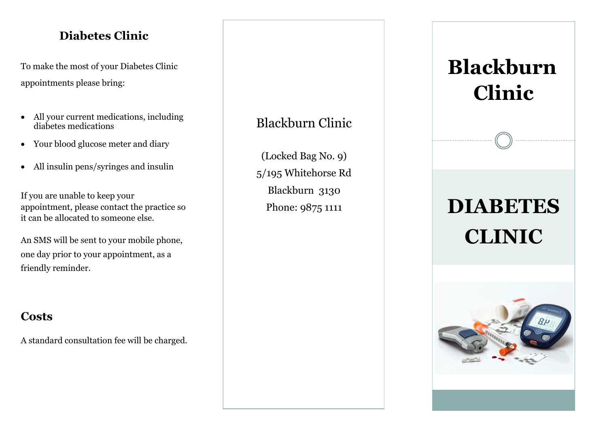#### **Diabetes Clinic**

To make the most of your Diabetes Clinic appointments please bring:

- All your current medications, including diabetes medications
- Your blood glucose meter and diary
- All insulin pens/syringes and insulin

If you are unable to keep your appointment, please contact the practice so it can be allocated to someone else.

An SMS will be sent to your mobile phone, one day prior to your appointment, as a friendly reminder.

#### **Costs**

A standard consultation fee will be charged.

## Blackburn Clinic

(Locked Bag No. 9) 5/195 Whitehorse Rd Blackburn 3130

# Phone: 9875 1111 **DIABETES CLINIC Blackburn Clinic**